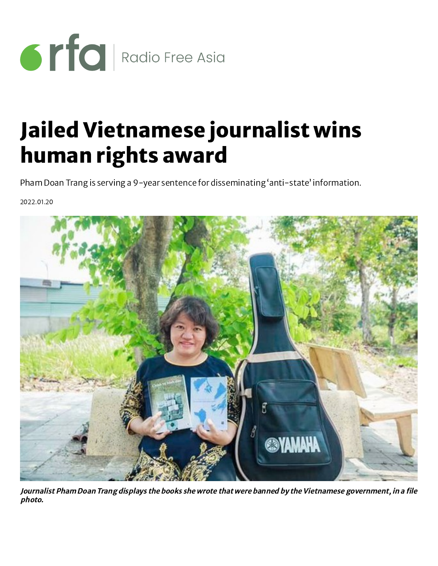

## Jailed Vietnamese journalist wins human rights award

Pham Doan Trang is serving a 9-year sentence for disseminating 'anti-state' information.

2022.01.20



Journalist Pham Doan Trang displays the books she wrote that were banned by the Vietnamese government, in <sup>a</sup> file photo.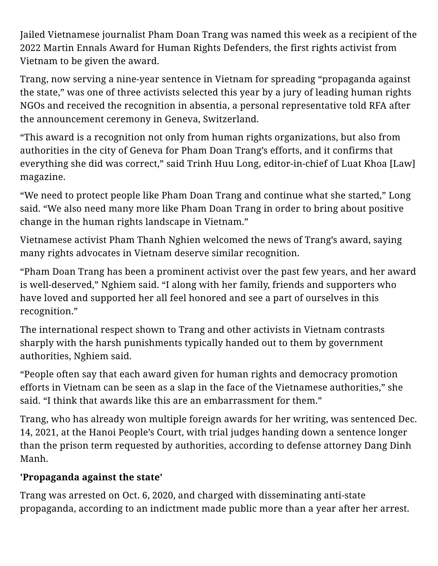Jailed Vietnamese journalist Pham Doan Trang was named this week as a recipient of the 2022 Martin Ennals Award for Human Rights Defenders, the first rights activist from Vietnam to be given the award.

Trang, now serving a nine-year sentence in Vietnam for spreading "propaganda against the state," was one of three activists selected this year by a jury of leading human rights NGOs and received the recognition in absentia, a personal representative told RFA after the announcement ceremony in Geneva, Switzerland.

"This award is a recognition not only from human rights organizations, but also from authorities in the city of Geneva for Pham Doan Trang's efforts, and it confirms that everything she did was correct," said Trinh Huu Long, editor-in-chief of Luat Khoa [Law] magazine.

"We need to protect people like Pham Doan Trang and continue what she started," Long said. "We also need many more like Pham Doan Trang in order to bring about positive change in the human rights landscape in Vietnam."

Vietnamese activist Pham Thanh Nghien welcomed the news of Trang's award, saying many rights advocates in Vietnam deserve similar recognition.

"Pham Doan Trang has been a prominent activist over the past few years, and her award is well-deserved," Nghiem said. "I along with her family, friends and supporters who have loved and supported her all feel honored and see a part of ourselves in this recognition."

The international respect shown to Trang and other activists in Vietnam contrasts sharply with the harsh punishments typically handed out to them by government authorities, Nghiem said.

"People often say that each award given for human rights and democracy promotion efforts in Vietnam can be seen as a slap in the face of the Vietnamese authorities," she said. "I think that awards like this are an embarrassment for them."

Trang, who has already won multiple foreign awards for her writing, was sentenced Dec. 14, 2021, at the Hanoi People's Court, with trial judges handing down a sentence longer than the prison term requested by authorities, according to defense attorney Dang Dinh Manh.

## **'Propaganda against the state'**

Trang was arrested on Oct. 6, 2020, and charged with disseminating anti-state propaganda, according to an indictment made public more than a year after her arrest.